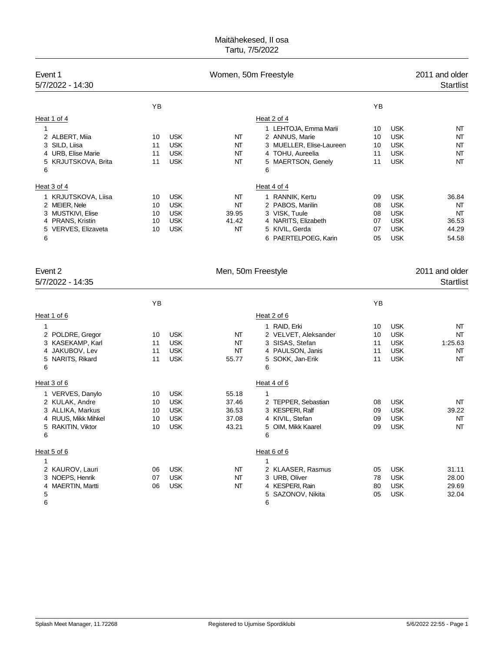# Maitähekesed, II osa Tartu, 7/5/2022

| Event 1<br>5/7/2022 - 14:30                                                                                              |                            |                                                                    | Women, 50m Freestyle                      |                                                                                                                                      |                                  |                                                                                  | 2011 and older<br><b>Startlist</b>           |
|--------------------------------------------------------------------------------------------------------------------------|----------------------------|--------------------------------------------------------------------|-------------------------------------------|--------------------------------------------------------------------------------------------------------------------------------------|----------------------------------|----------------------------------------------------------------------------------|----------------------------------------------|
|                                                                                                                          | YB                         |                                                                    |                                           |                                                                                                                                      | YB                               |                                                                                  |                                              |
| Heat 1 of 4<br>1<br>2 ALBERT, Miia<br>3 SILD, Liisa<br>4 URB, Elise Marie<br>5 KRJUTSKOVA, Brita<br>6                    | 10<br>11<br>11<br>11       | <b>USK</b><br><b>USK</b><br><b>USK</b><br><b>USK</b>               | NT<br>NT<br>NT<br>NT                      | Heat 2 of 4<br>1 LEHTOJA, Emma Marii<br>2 ANNUS, Marie<br>3 MUELLER, Elise-Laureen<br>4 TOHU, Aureelia<br>5 MAERTSON, Genely<br>6    | 10<br>10<br>10<br>11<br>11       | <b>USK</b><br><b>USK</b><br><b>USK</b><br><b>USK</b><br><b>USK</b>               | NT<br>NT<br>NT<br>NT<br>NT                   |
| Heat 3 of 4<br>1 KRJUTSKOVA, Liisa<br>2 MEIER, Nele<br>3 MUSTKIVI, Elise<br>4 PRANS, Kristin<br>5 VERVES, Elizaveta<br>6 | 10<br>10<br>10<br>10<br>10 | <b>USK</b><br><b>USK</b><br><b>USK</b><br><b>USK</b><br><b>USK</b> | NT<br>NT<br>39.95<br>41.42<br>NT          | Heat 4 of 4<br>1 RANNIK, Kertu<br>2 PABOS, Marilin<br>3 VISK, Tuule<br>4 NARITS, Elizabeth<br>5 KIVIL, Gerda<br>6 PAERTELPOEG, Karin | 09<br>08<br>08<br>07<br>07<br>05 | <b>USK</b><br><b>USK</b><br><b>USK</b><br><b>USK</b><br><b>USK</b><br><b>USK</b> | 36.84<br>NT<br>NT<br>36.53<br>44.29<br>54.58 |
| Event 2<br>5/7/2022 - 14:35                                                                                              |                            |                                                                    | Men, 50m Freestyle                        |                                                                                                                                      |                                  |                                                                                  | 2011 and older<br><b>Startlist</b>           |
|                                                                                                                          | YB                         |                                                                    |                                           |                                                                                                                                      | YB                               |                                                                                  |                                              |
| Heat 1 of 6                                                                                                              |                            |                                                                    |                                           | Heat 2 of 6                                                                                                                          |                                  |                                                                                  |                                              |
| 1<br>2 POLDRE, Gregor<br>3 KASEKAMP, Karl<br>4 JAKUBOV, Lev<br>5 NARITS, Rikard<br>6                                     | 10<br>11<br>11<br>11       | <b>USK</b><br><b>USK</b><br><b>USK</b><br><b>USK</b>               | NT<br>NΤ<br>NT<br>55.77                   | 1 RAID, Erki<br>2 VELVET, Aleksander<br>3 SISAS, Stefan<br>4 PAULSON, Janis<br>5 SOKK, Jan-Erik<br>6                                 | 10<br>10<br>11<br>11<br>11       | <b>USK</b><br><b>USK</b><br><b>USK</b><br><b>USK</b><br><b>USK</b>               | NT<br>NT<br>1:25.63<br>NΤ<br>NT              |
| Heat 3 of 6<br>1 VERVES, Danylo<br>2 KULAK, Andre<br>3 ALLIKA, Markus<br>4 RUUS, Mikk Mihkel<br>5 RAKITIN, Viktor<br>6   | 10<br>10<br>10<br>10<br>10 | <b>USK</b><br><b>USK</b><br><b>USK</b><br><b>USK</b><br><b>USK</b> | 55.18<br>37.46<br>36.53<br>37.08<br>43.21 | Heat 4 of 6<br>1<br>2 TEPPER, Sebastian<br>3 KESPERI, Ralf<br>4 KIVIL, Stefan<br>5 OIM, Mikk Kaarel<br>6                             | 08<br>09<br>09<br>09             | <b>USK</b><br><b>USK</b><br><b>USK</b><br><b>USK</b>                             | NΤ<br>39.22<br>NT<br>NΤ                      |
| Heat 5 of 6<br>1<br>2 KAUROV, Lauri<br>3 NOEPS, Henrik<br>4 MAERTIN, Martti<br>5<br>6                                    | 06<br>07<br>06             | <b>USK</b><br><b>USK</b><br><b>USK</b>                             | NT<br>NΤ<br>NΤ                            | Heat 6 of 6<br>$\mathbf{1}$<br>2 KLAASER, Rasmus<br>3 URB, Oliver<br>4 KESPERI, Rain<br>5 SAZONOV, Nikita<br>6                       | 05<br>78<br>80<br>05             | <b>USK</b><br><b>USK</b><br><b>USK</b><br><b>USK</b>                             | 31.11<br>28.00<br>29.69<br>32.04             |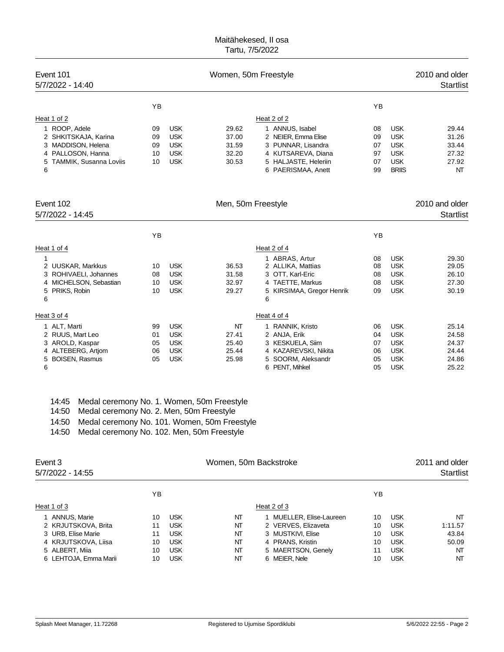### Maitähekesed, II osa Tartu, 7/5/2022

| Event 101<br>5/7/2022 - 14:40                                                                                                       |                                  |                                                                    | Women, 50m Freestyle                      |                                                                                                                                                 |                                        |                                                                                    | 2010 and older<br><b>Startlist</b>                 |
|-------------------------------------------------------------------------------------------------------------------------------------|----------------------------------|--------------------------------------------------------------------|-------------------------------------------|-------------------------------------------------------------------------------------------------------------------------------------------------|----------------------------------------|------------------------------------------------------------------------------------|----------------------------------------------------|
| Heat 1 of 2<br>1 ROOP, Adele<br>2 SHKITSKAJA, Karina<br>3 MADDISON, Helena<br>4 PALLOSON, Hanna<br>TAMMIK, Susanna Loviis<br>5<br>6 | YB<br>09<br>09<br>09<br>10<br>10 | <b>USK</b><br><b>USK</b><br><b>USK</b><br><b>USK</b><br><b>USK</b> | 29.62<br>37.00<br>31.59<br>32.20<br>30.53 | Heat 2 of 2<br>1 ANNUS, Isabel<br>2 NEIER, Emma Elise<br>3 PUNNAR, Lisandra<br>4 KUTSAREVA, Diana<br>5 HALJASTE, Heleriin<br>6 PAERISMAA, Anett | YB<br>08<br>09<br>07<br>97<br>07<br>99 | <b>USK</b><br><b>USK</b><br><b>USK</b><br><b>USK</b><br><b>USK</b><br><b>BRIIS</b> | 29.44<br>31.26<br>33.44<br>27.32<br>27.92<br>NT    |
| Event 102<br>5/7/2022 - 14:45                                                                                                       |                                  |                                                                    | Men, 50m Freestyle                        |                                                                                                                                                 |                                        |                                                                                    | 2010 and older<br><b>Startlist</b>                 |
|                                                                                                                                     | <b>YB</b>                        |                                                                    |                                           |                                                                                                                                                 | YB                                     |                                                                                    |                                                    |
| Heat 1 of 4<br>1<br>2 UUSKAR, Markkus<br>3 ROHIVAELI, Johannes<br>4 MICHELSON, Sebastian<br>5 PRIKS, Robin<br>6                     | 10<br>08<br>10<br>10             | <b>USK</b><br><b>USK</b><br><b>USK</b><br><b>USK</b>               | 36.53<br>31.58<br>32.97<br>29.27          | Heat 2 of 4<br>1 ABRAS, Artur<br>2 ALLIKA, Mattias<br>3 OTT, Karl-Eric<br>4 TAETTE, Markus<br>5 KIRSIMAA, Gregor Henrik<br>6                    | 08<br>08<br>08<br>08<br>09             | <b>USK</b><br><b>USK</b><br><b>USK</b><br><b>USK</b><br><b>USK</b>                 | 29.30<br>29.05<br>26.10<br>27.30<br>30.19          |
| Heat 3 of 4<br>1 ALT, Marti<br>2 RUUS, Mart Leo<br>3 AROLD, Kaspar<br>4 ALTEBERG, Artiom<br>5 BOISEN, Rasmus<br>6                   | 99<br>01<br>05<br>06<br>05       | <b>USK</b><br><b>USK</b><br><b>USK</b><br><b>USK</b><br><b>USK</b> | NΤ<br>27.41<br>25.40<br>25.44<br>25.98    | Heat 4 of 4<br>1 RANNIK, Kristo<br>2 ANJA, Erik<br>3 KESKUELA, Siim<br>4 KAZAREVSKI, Nikita<br>5 SOORM, Aleksandr<br>6 PENT, Mihkel             | 06<br>04<br>07<br>06<br>05<br>05       | <b>USK</b><br><b>USK</b><br><b>USK</b><br><b>USK</b><br><b>USK</b><br><b>USK</b>   | 25.14<br>24.58<br>24.37<br>24.44<br>24.86<br>25.22 |

|  |  | 14:45 Medal ceremony No. 1. Women, 50m Freestyle |  |  |  |  |  |
|--|--|--------------------------------------------------|--|--|--|--|--|
|--|--|--------------------------------------------------|--|--|--|--|--|

14:50 Medal ceremony No. 2. Men, 50m Freestyle

14:50 Medal ceremony No. 101. Women, 50m Freestyle

14:50 Medal ceremony No. 102. Men, 50m Freestyle

| Event 3<br>5/7/2022 - 14:55 | Women, 50m Backstroke |            |    |                          |    |            | 2011 and older<br><b>Startlist</b> |
|-----------------------------|-----------------------|------------|----|--------------------------|----|------------|------------------------------------|
|                             | YB                    |            |    |                          | ΥB |            |                                    |
| Heat 1 of 3                 |                       |            |    | Heat 2 of 3              |    |            |                                    |
| 1 ANNUS, Marie              | 10                    | <b>USK</b> | NΤ | 1 MUELLER, Elise-Laureen | 10 | <b>USK</b> | NT                                 |
| 2 KRJUTSKOVA, Brita         | 11                    | <b>USK</b> | NΤ | 2 VERVES, Elizaveta      | 10 | <b>USK</b> | 1:11.57                            |
| 3 URB, Elise Marie          | 11                    | <b>USK</b> | NΤ | 3 MUSTKIVI, Elise        | 10 | <b>USK</b> | 43.84                              |
| 4 KRJUTSKOVA, Liisa         | 10                    | <b>USK</b> | NΤ | 4 PRANS, Kristin         | 10 | <b>USK</b> | 50.09                              |
| 5 ALBERT, Miia              | 10                    | <b>USK</b> | NΤ | 5 MAERTSON, Genely       | 11 | <b>USK</b> | NT                                 |
| 6 LEHTOJA, Emma Marii       | 10                    | <b>USK</b> | NΤ | 6 MEIER. Nele            | 10 | <b>USK</b> | NΤ                                 |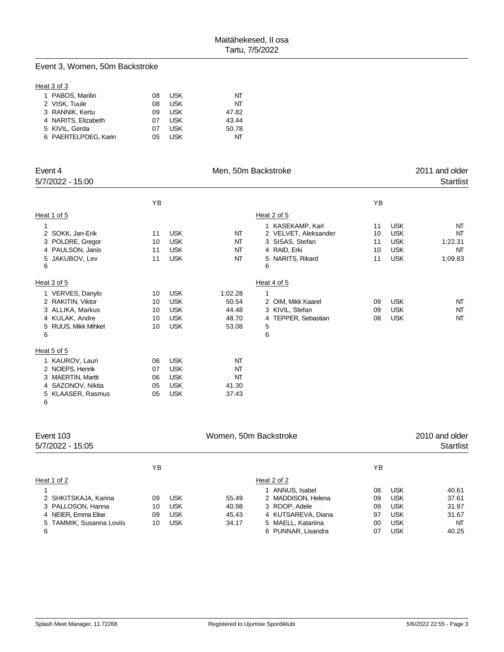## Event 3, Women, 50m Backstroke

#### Heat 3 of 3

| 1 PABOS, Marilin     | 08 | USK        | NT    |
|----------------------|----|------------|-------|
| 2 VISK, Tuule        | 08 | USK        | NΤ    |
| 3 RANNIK, Kertu      | 09 | <b>USK</b> | 47.82 |
| 4 NARITS, Elizabeth  | 07 | USK        | 43.44 |
| 5 KIVIL. Gerda       | 07 | USK        | 50.78 |
| 6 PAERTELPOEG, Karin | 05 | USK        | ΝТ    |
|                      |    |            |       |

| Event 4<br>5/7/2022 - 15:00                                                                                       |                            |                                                                    | Men, 50m Backstroke                         |                                                                                                      |                            |                                                                    | 2011 and older<br><b>Startlist</b>   |
|-------------------------------------------------------------------------------------------------------------------|----------------------------|--------------------------------------------------------------------|---------------------------------------------|------------------------------------------------------------------------------------------------------|----------------------------|--------------------------------------------------------------------|--------------------------------------|
|                                                                                                                   | YB                         |                                                                    |                                             |                                                                                                      | YB                         |                                                                    |                                      |
| Heat 1 of 5                                                                                                       |                            |                                                                    |                                             | Heat 2 of 5                                                                                          |                            |                                                                    |                                      |
| 2 SOKK, Jan-Erik<br>3 POLDRE, Gregor<br>4 PAULSON, Janis<br>JAKUBOV, Lev<br>5<br>6                                | 11<br>10<br>11<br>11       | <b>USK</b><br><b>USK</b><br><b>USK</b><br><b>USK</b>               | NT<br>NT<br>NT<br>NT                        | 1 KASEKAMP, Karl<br>2 VELVET, Aleksander<br>3 SISAS, Stefan<br>4 RAID, Erki<br>5 NARITS, Rikard<br>6 | 11<br>10<br>11<br>10<br>11 | <b>USK</b><br><b>USK</b><br><b>USK</b><br><b>USK</b><br><b>USK</b> | NT<br>NT<br>1:22.31<br>NT<br>1:09.83 |
| Heat 3 of 5                                                                                                       |                            |                                                                    |                                             | Heat 4 of 5                                                                                          |                            |                                                                    |                                      |
| 1 VERVES, Danylo<br>2 RAKITIN, Viktor<br>3 ALLIKA, Markus<br>4 KULAK, Andre<br><b>RUUS, Mikk Mihkel</b><br>5<br>6 | 10<br>10<br>10<br>10<br>10 | <b>USK</b><br><b>USK</b><br><b>USK</b><br><b>USK</b><br><b>USK</b> | 1:02.28<br>50.54<br>44.48<br>48.70<br>53.08 | 1<br>2 OIM, Mikk Kaarel<br>3 KIVIL, Stefan<br>4 TEPPER, Sebastian<br>5<br>6                          | 09<br>09<br>08             | <b>USK</b><br><b>USK</b><br><b>USK</b>                             | NT<br>NT<br>NT                       |
| Heat 5 of 5                                                                                                       |                            |                                                                    |                                             |                                                                                                      |                            |                                                                    |                                      |
| 1 KAUROV, Lauri<br>2 NOEPS, Henrik<br>3 MAERTIN, Martti<br>4 SAZONOV, Nikita<br>5 KLAASER, Rasmus                 | 06<br>07<br>06<br>05<br>05 | <b>USK</b><br><b>USK</b><br><b>USK</b><br><b>USK</b><br><b>USK</b> | NT<br>NT<br>NT<br>41.30<br>37.43            |                                                                                                      |                            |                                                                    |                                      |

| Event 103<br>5/7/2022 - 15:05 | Women, 50m Backstroke |            |       |                    |     |            | 2010 and older<br>Startlist |
|-------------------------------|-----------------------|------------|-------|--------------------|-----|------------|-----------------------------|
|                               | ΥB                    |            |       |                    | YB. |            |                             |
| Heat 1 of 2                   |                       |            |       | Heat 2 of 2        |     |            |                             |
|                               |                       |            |       | 1 ANNUS, Isabel    | 08  | <b>USK</b> | 40.61                       |
| 2 SHKITSKAJA, Karina          | 09                    | <b>USK</b> | 55.49 | 2 MADDISON, Helena | 09  | <b>USK</b> | 37.61                       |
| 3 PALLOSON, Hanna             | 10                    | <b>USK</b> | 40.98 | 3 ROOP, Adele      | 09  | <b>USK</b> | 31.97                       |
| 4 NEIER, Emma Elise           | 09                    | <b>USK</b> | 45.43 | 4 KUTSAREVA, Diana | 97  | <b>USK</b> | 31.67                       |
| 5 TAMMIK, Susanna Loviis      | 10                    | <b>USK</b> | 34.17 | 5 MAELL, Katariina | 00  | <b>USK</b> | NT                          |
| 6                             |                       |            |       | 6 PUNNAR, Lisandra | 07  | <b>USK</b> | 40.25                       |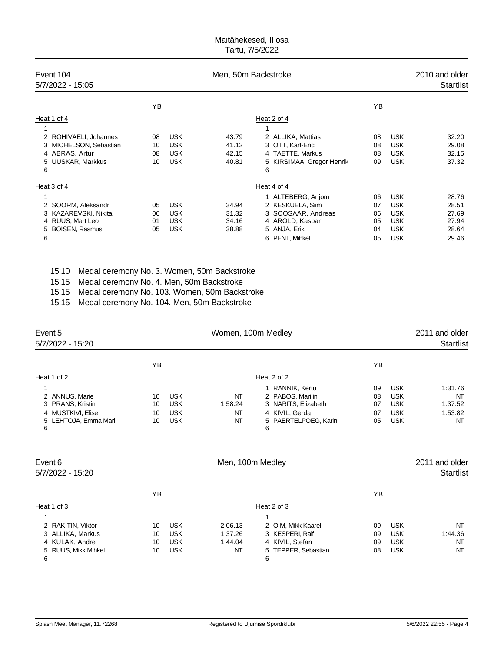### Maitähekesed, II osa Tartu, 7/5/2022

| Event 104<br>5/7/2022 - 15:05 | Men, 50m Backstroke |            |       |                           |    |            | 2010 and older<br><b>Startlist</b> |
|-------------------------------|---------------------|------------|-------|---------------------------|----|------------|------------------------------------|
|                               | YB                  |            |       |                           | ΥB |            |                                    |
| Heat 1 of 4                   |                     |            |       | Heat 2 of 4               |    |            |                                    |
| 1                             |                     |            |       |                           |    |            |                                    |
| 2 ROHIVAELI, Johannes         | 08                  | <b>USK</b> | 43.79 | 2 ALLIKA, Mattias         | 08 | <b>USK</b> | 32.20                              |
| 3 MICHELSON, Sebastian        | 10                  | <b>USK</b> | 41.12 | 3 OTT, Karl-Eric          | 08 | <b>USK</b> | 29.08                              |
| 4 ABRAS, Artur                | 08                  | <b>USK</b> | 42.15 | 4 TAETTE, Markus          | 08 | <b>USK</b> | 32.15                              |
| 5 UUSKAR, Markkus             | 10                  | <b>USK</b> | 40.81 | 5 KIRSIMAA, Gregor Henrik | 09 | <b>USK</b> | 37.32                              |
| 6                             |                     |            |       | 6                         |    |            |                                    |
| Heat 3 of 4                   |                     |            |       | Heat 4 of 4               |    |            |                                    |
| 1                             |                     |            |       | 1 ALTEBERG, Artiom        | 06 | <b>USK</b> | 28.76                              |
| 2 SOORM, Aleksandr            | 05                  | <b>USK</b> | 34.94 | 2 KESKUELA, Siim          | 07 | <b>USK</b> | 28.51                              |
| 3 KAZAREVSKI, Nikita          | 06                  | <b>USK</b> | 31.32 | 3 SOOSAAR, Andreas        | 06 | <b>USK</b> | 27.69                              |
| 4 RUUS, Mart Leo              | 01                  | <b>USK</b> | 34.16 | 4 AROLD, Kaspar           | 05 | <b>USK</b> | 27.94                              |
| 5 BOISEN, Rasmus              | 05                  | <b>USK</b> | 38.88 | 5 ANJA, Erik              | 04 | <b>USK</b> | 28.64                              |
| 6                             |                     |            |       | 6 PENT, Mihkel            | 05 | <b>USK</b> | 29.46                              |

15:10 Medal ceremony No. 3. Women, 50m Backstroke

15:15 Medal ceremony No. 4. Men, 50m Backstroke

15:15 Medal ceremony No. 103. Women, 50m Backstroke

15:15 Medal ceremony No. 104. Men, 50m Backstroke

| Event 5<br>5/7/2022 - 15:20                                                              |                      |                                                      | Women, 100m Medley                  |                                                                                                           |                            |                                                                    | 2011 and older<br><b>Startlist</b>        |
|------------------------------------------------------------------------------------------|----------------------|------------------------------------------------------|-------------------------------------|-----------------------------------------------------------------------------------------------------------|----------------------------|--------------------------------------------------------------------|-------------------------------------------|
|                                                                                          | YB                   |                                                      |                                     |                                                                                                           | YB                         |                                                                    |                                           |
| Heat 1 of 2                                                                              |                      |                                                      |                                     | Heat 2 of 2                                                                                               |                            |                                                                    |                                           |
| 2 ANNUS, Marie<br>3 PRANS, Kristin<br>4 MUSTKIVI, Elise<br>5 LEHTOJA, Emma Marii<br>6    | 10<br>10<br>10<br>10 | <b>USK</b><br><b>USK</b><br><b>USK</b><br><b>USK</b> | NΤ<br>1:58.24<br>NΤ<br>NT           | 1 RANNIK, Kertu<br>2 PABOS, Marilin<br>3 NARITS, Elizabeth<br>4 KIVIL, Gerda<br>5 PAERTELPOEG, Karin<br>6 | 09<br>08<br>07<br>07<br>05 | <b>USK</b><br><b>USK</b><br><b>USK</b><br><b>USK</b><br><b>USK</b> | 1:31.76<br>NT<br>1:37.52<br>1:53.82<br>NT |
| Event 6<br>5/7/2022 - 15:20                                                              |                      |                                                      | Men, 100m Medley                    |                                                                                                           |                            |                                                                    | 2011 and older<br><b>Startlist</b>        |
|                                                                                          | ΥB                   |                                                      |                                     |                                                                                                           | YB                         |                                                                    |                                           |
| Heat 1 of 3                                                                              |                      |                                                      |                                     | Heat 2 of 3                                                                                               |                            |                                                                    |                                           |
| 1<br>2 RAKITIN, Viktor<br>3 ALLIKA, Markus<br>4 KULAK, Andre<br>5 RUUS, Mikk Mihkel<br>6 | 10<br>10<br>10<br>10 | <b>USK</b><br><b>USK</b><br><b>USK</b><br><b>USK</b> | 2:06.13<br>1:37.26<br>1:44.04<br>NΤ | 2 OIM, Mikk Kaarel<br>3 KESPERI, Ralf<br>4 KIVIL, Stefan<br>TEPPER, Sebastian<br>5<br>6                   | 09<br>09<br>09<br>08       | <b>USK</b><br><b>USK</b><br><b>USK</b><br><b>USK</b>               | NT<br>1:44.36<br>NT<br>NT                 |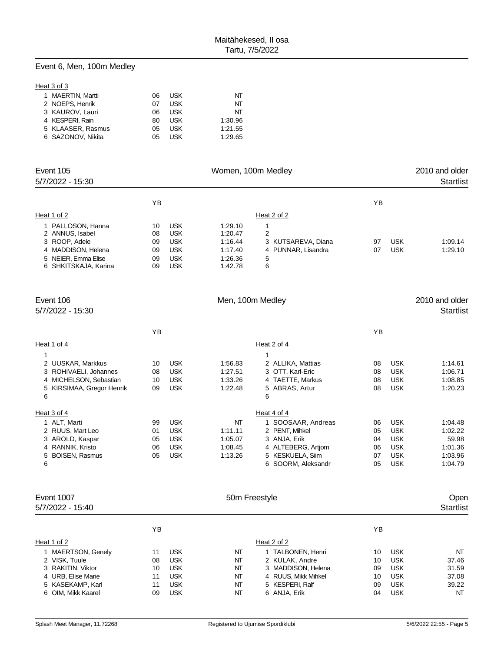#### Event 6, Men, 100m Medley

#### Heat 3 of 3

| 1 MAERTIN, Martti | 06 | USK | NΤ      |
|-------------------|----|-----|---------|
| 2 NOEPS. Henrik   | 07 | USK | NT      |
| 3 KAUROV, Lauri   | 06 | USK | NT      |
| 4 KESPERI, Rain   | 80 | USK | 1:30.96 |
| 5 KLAASER, Rasmus | 05 | USK | 1:21.55 |
| 6 SAZONOV. Nikita | 05 | USK | 1:29.65 |
|                   |    |     |         |

| Event 105<br>5/7/2022 - 15:30                                                                      | Women, 100m Medley         |                                                                    |                                                     |                                                    |          |                          | 2010 and older<br><b>Startlist</b> |
|----------------------------------------------------------------------------------------------------|----------------------------|--------------------------------------------------------------------|-----------------------------------------------------|----------------------------------------------------|----------|--------------------------|------------------------------------|
|                                                                                                    | ΥB                         |                                                                    |                                                     |                                                    | ΥB       |                          |                                    |
| Heat 1 of 2                                                                                        |                            |                                                                    |                                                     | Heat 2 of 2                                        |          |                          |                                    |
| 1 PALLOSON, Hanna<br>2 ANNUS, Isabel<br>3 ROOP, Adele<br>4 MADDISON, Helena<br>5 NEIER, Emma Elise | 10<br>08<br>09<br>09<br>09 | <b>USK</b><br><b>USK</b><br><b>USK</b><br><b>USK</b><br><b>USK</b> | 1:29.10<br>1.20.47<br>1:16.44<br>1:17.40<br>1:26.36 | 2<br>3 KUTSAREVA, Diana<br>4 PUNNAR, Lisandra<br>5 | 97<br>07 | <b>USK</b><br><b>USK</b> | 1:09.14<br>1:29.10                 |
| 6 SHKITSKAJA, Karina                                                                               | 09                         | USK                                                                | 1:42.78                                             | 6                                                  |          |                          |                                    |

| Event 106<br>5/7/2022 - 15:30 |    |            | Men, 100m Medley |                    |    |            | 2010 and older<br><b>Startlist</b> |
|-------------------------------|----|------------|------------------|--------------------|----|------------|------------------------------------|
|                               | YB |            |                  |                    | YB |            |                                    |
| Heat 1 of 4                   |    |            |                  | Heat 2 of 4        |    |            |                                    |
| 1                             |    |            |                  | 1                  |    |            |                                    |
| 2 UUSKAR, Markkus             | 10 | <b>USK</b> | 1:56.83          | 2 ALLIKA, Mattias  | 08 | <b>USK</b> | 1:14.61                            |
| 3 ROHIVAELI, Johannes         | 08 | <b>USK</b> | 1:27.51          | 3 OTT, Karl-Eric   | 08 | <b>USK</b> | 1:06.71                            |
| 4 MICHELSON, Sebastian        | 10 | <b>USK</b> | 1:33.26          | 4 TAETTE, Markus   | 08 | <b>USK</b> | 1:08.85                            |
| KIRSIMAA, Gregor Henrik<br>5  | 09 | <b>USK</b> | 1:22.48          | 5 ABRAS, Artur     | 08 | <b>USK</b> | 1:20.23                            |
| 6                             |    |            |                  | 6                  |    |            |                                    |
| Heat 3 of 4                   |    |            |                  | Heat 4 of 4        |    |            |                                    |
| 1 ALT, Marti                  | 99 | <b>USK</b> | NT               | 1 SOOSAAR, Andreas | 06 | <b>USK</b> | 1:04.48                            |
| 2 RUUS, Mart Leo              | 01 | <b>USK</b> | 1:11.11          | 2 PENT, Mihkel     | 05 | <b>USK</b> | 1:02.22                            |
| 3 AROLD, Kaspar               | 05 | <b>USK</b> | 1:05.07          | 3 ANJA, Erik       | 04 | <b>USK</b> | 59.98                              |
| 4 RANNIK, Kristo              | 06 | <b>USK</b> | 1:08.45          | 4 ALTEBERG, Artiom | 06 | <b>USK</b> | 1:01.36                            |
| <b>BOISEN, Rasmus</b><br>5    | 05 | <b>USK</b> | 1:13.26          | 5 KESKUELA, Siim   | 07 | <b>USK</b> | 1:03.96                            |
| 6                             |    |            |                  | 6 SOORM, Aleksandr | 05 | <b>USK</b> | 1:04.79                            |
| <b>Event 1007</b>             |    |            | 50m Freestyle    |                    |    |            | Open                               |
| 5/7/2022 - 15:40              |    |            |                  |                    |    |            | <b>Startlist</b>                   |
|                               |    |            |                  |                    |    |            |                                    |
|                               | YB |            |                  |                    | YB |            |                                    |
| Heat 1 of 2                   |    |            |                  | Heat 2 of 2        |    |            |                                    |
| 1 MAERTSON, Genely            | 11 | <b>USK</b> | NΤ               | 1 TALBONEN, Henri  | 10 | <b>USK</b> | NT                                 |
| 2 VISK, Tuule                 | 08 | <b>USK</b> | NT               | 2 KULAK, Andre     | 10 | <b>USK</b> | 37.46                              |
| 3 RAKITIN, Viktor             | 10 | <b>USK</b> | NT               | 3 MADDISON, Helena | 09 | <b>USK</b> | 31.59                              |

6 OIM, Mikk Kaarel

 URB, Elise Marie 11 USK NT 4 RUUS, Mikk Mihkel 10 USK 37.08 KASEKAMP, Karl 11 USK NT 5 KESPERI, Ralf 09 USK 39.22